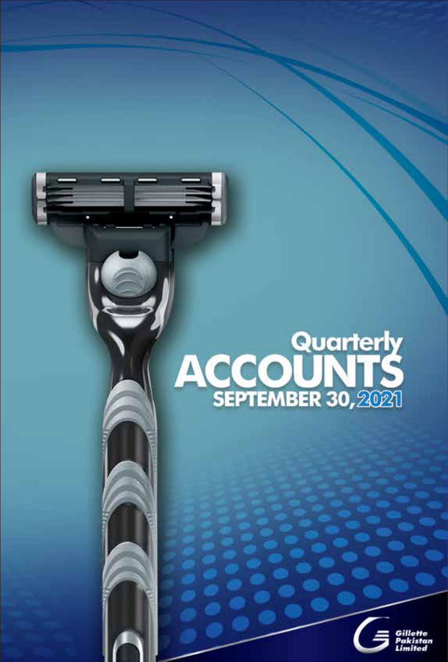# **ACCOUNTS**<br>SEPTEMBER 30,2021

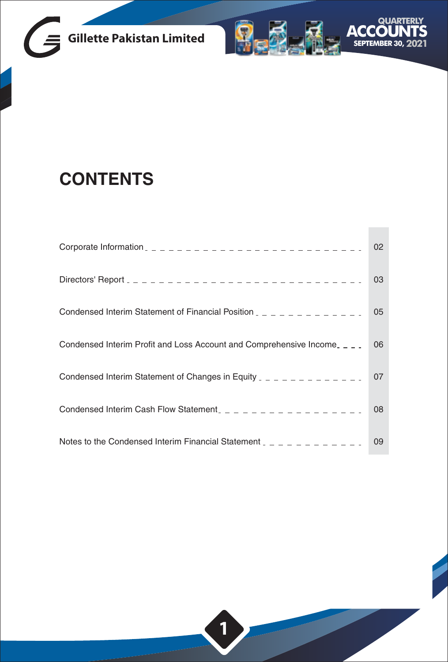



# **CONTENTS**

|                                                                                   | 02 |
|-----------------------------------------------------------------------------------|----|
|                                                                                   | 03 |
| Condensed Interim Statement of Financial Position _ _ _ _ _ _ _ _ _ _ _ _ _       | 05 |
| Condensed Interim Profit and Loss Account and Comprehensive Income <sub>---</sub> | 06 |
| Condensed Interim Statement of Changes in Equity $2 - 2 - 2 - 2 - 2 - 2$          | 07 |
| Condensed Interim Cash Flow Statement_ _ _ _ _ _ _ _ _ _ _ _ _ _ _ _ _ _          | 08 |
| Notes to the Condensed Interim Financial Statement $z = -z = -z = -z$             | 09 |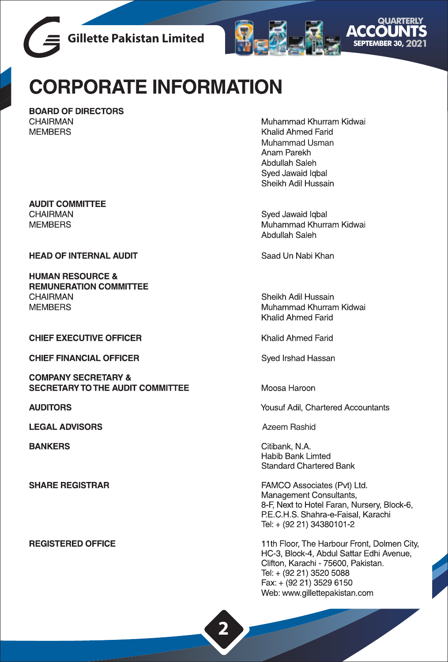



# **CORPORATE INFORMATION**

BOARD OF DIRECTORS CHAIRMAN **MEMBERS** 

Muhammad Khurram Kidwai Khalid Ahmed Farid Muhammad Usman Anam Parekh Abdullah Saleh Sved Jawaid Igbal Sheikh Adil Hussain

Syed Jawaid Iqbal Muhammad Khurram Kidwai Abdullah Saleh

Saad Un Nabi Khan

Sheikh Adil Hussain Muhammad Khurram Kidwai Khalid Ahmed Farid

Khalid Ahmed Farid

Sved Irshad Hassan

Moosa Haroon

Yousuf Adil, Chartered Accountants

**Azeem Rashid** 

Citibank, N.A. Habib Bank Limted **Standard Chartered Bank** 

FAMCO Associates (Pvt) Ltd. Management Consultants, 8-F, Next to Hotel Faran, Nursery, Block-6, P.E.C.H.S. Shahra-e-Faisal, Karachi Tel: + (92 21) 34380101-2

11th Floor, The Harbour Front, Dolmen City, HC-3, Block-4, Abdul Sattar Edhi Avenue, Clifton, Karachi - 75600, Pakistan. Tel: + (92 21) 3520 5088 Fax: + (92 21) 3529 6150 Web: www.qillettepakistan.com

**AUDIT COMMITTEE CHAIRMAN MEMBERS** 

**HEAD OF INTERNAL AUDIT** 

**HUMAN RESOURCE & REMUNERATION COMMITTEE CHAIRMAN MFMBFRS** 

**CHIEF EXECUTIVE OFFICER** 

**CHIEF FINANCIAL OFFICER** 

**COMPANY SECRETARY & SECRETARY TO THE AUDIT COMMITTEE** 

**AUDITORS** 

**LEGAL ADVISORS** 

**BANKERS** 

**SHARE REGISTRAR** 

**REGISTERED OFFICE**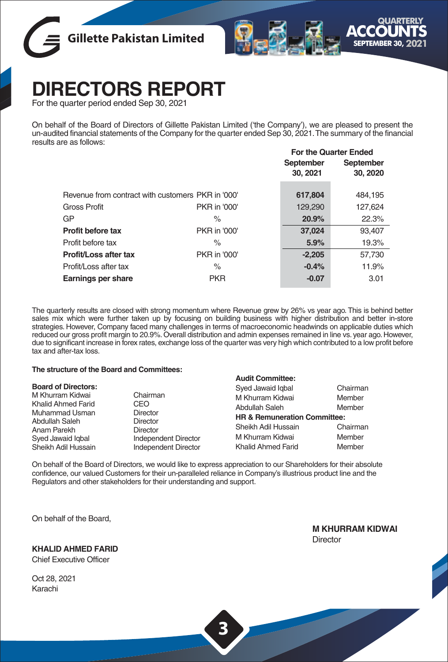



# **DIRECTORS REPORT**

For the quarter period ended Sep 30, 2021

On behalf of the Board of Directors of Gillette Pakistan Limited ('the Company'), we are pleased to present the un-audited financial statements of the Company for the quarter ended Sep 30, 2021. The summary of the financial results are as follows:

|                                                   |              | <b>For the Quarter Ended</b> |           |
|---------------------------------------------------|--------------|------------------------------|-----------|
|                                                   |              | September                    | September |
|                                                   |              | 30, 2021                     | 30, 2020  |
| Revenue from contract with customers PKR in '000' |              | 617,804                      | 484,195   |
| <b>Gross Profit</b>                               | PKR in '000' | 129,290                      | 127,624   |
| GP.                                               | $\%$         | 20.9%                        | 22.3%     |
| Profit before tax                                 | PKR in '000' | 37,024                       | 93.407    |
| Profit before tax                                 | $\%$         | 5.9%                         | 19.3%     |
| Profit/Loss after tax                             | PKR in '000' | $-2.205$                     | 57,730    |
| Profit/Loss after tax                             | $\%$         | $-0.4%$                      | 11.9%     |
| Earnings per share                                | <b>PKR</b>   | $-0.07$                      | 3.01      |
|                                                   |              |                              |           |

The quarterly results are closed with strong momentum where Revenue grew by 26% vs year ago. This is behind better sales mix which were further taken up by focusing on building business with higher distribution and better in-store strategies. However, Company faced many challenges in terms of macroeconomic headwinds on applicable duties which reduced our gross profit margin to 20.9%. Overall distribution and admin expenses remained in line vs. year ago. However, due to significant increase in forex rates, exchange loss of the quarter was very high which contributed to a low profit before tax and after-tax loss.

### **The structure of the Board and Committees:**

|                                                                                             |                                                                                                       | <b>Audit Committee:</b>                                                                                  |                              |
|---------------------------------------------------------------------------------------------|-------------------------------------------------------------------------------------------------------|----------------------------------------------------------------------------------------------------------|------------------------------|
| <b>Board of Directors:</b><br>M Khurram Kidwai<br>Khalid Ahmed Farid                        | Chairman<br>CEO.                                                                                      | Syed Jawaid Igbal<br>M Khurram Kidwai<br>Abdullah Saleh                                                  | Chairman<br>Member<br>Member |
| Muhammad Usman<br>Abdullah Saleh<br>Anam Parekh<br>Syed Jawaid Igbal<br>Sheikh Adil Hussain | <b>Director</b><br><b>Director</b><br><b>Director</b><br>Independent Director<br>Independent Director | <b>HR &amp; Remuneration Committee:</b><br>Sheikh Adil Hussain<br>M Khurram Kidwai<br>Khalid Ahmed Farid | Chairman<br>Member<br>Member |
|                                                                                             |                                                                                                       |                                                                                                          |                              |

On behalf of the Board of Directors, we would like to express appreciation to our Shareholders for their absolute confidence, our valued Customers for their un-paralleled reliance in Company's illustrious product line and the Regulators and other stakeholders for their understanding and support.

On behalf of the Board,

**KHALID AHMED FARID**

Chief Executive Officer

Oct 28, 2021 Karachi

**M KHURRAM KIDWAI Director**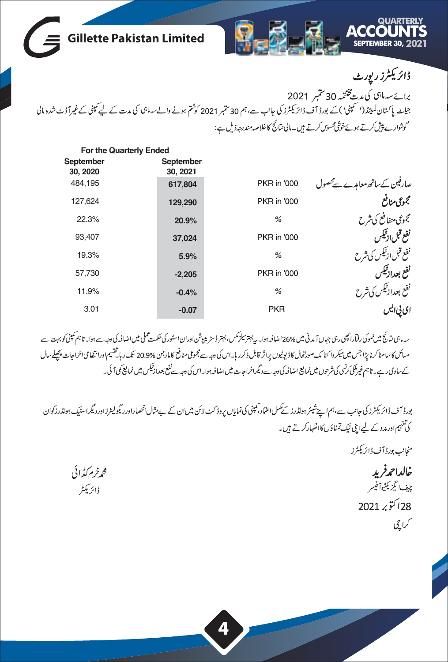

| For the Quarterly Ended |           |             |                               |
|-------------------------|-----------|-------------|-------------------------------|
| September               | September |             |                               |
| 30, 2020                | 30, 2021  |             |                               |
| 484.195                 | 617,804   | PKR in '000 | صارفین کےساتھ معامدے سے محصول |
| 127.624                 | 129,290   | PKR in '000 | مجموعى منافع                  |
| 22.3%                   | 20.9%     | %           | مجموعى منفافع كى شرح          |
| 93.407                  | 37,024    | PKR in '000 | نفع قبل ازنيكس                |
| 19.3%                   | 5.9%      | %           | نفع قبل ازئیکس کی شرح         |
| 57.730                  | $-2,205$  | PKR in '000 | نفع بعدازتيكس                 |
| 11.9%                   | $-0.4%$   | %           | نفع بعداز ٹیکس کی شرح         |
| 3.01                    | $-0.07$   | <b>PKR</b>  |                               |

سەمائى نتائج میں نموکى رفاراچھى رہى جہاں آمد نى میں 26% اضافہ ہوا۔ پہ بہتر لیکن میں اوران اسٹور کی تكسيم کى میں اضافہ كى دىجہ سے ہوا۔ تاہم كمپنى كو بہت سے مىلىكى كاسامنا كرنا پ<sup>ە</sup>ن جس مىيكروا كنا مك صورتحال كاۋيونيوں پراژ قابل ذكرر با-اس كى دھبەت مجمومى منافع كامار جن %20.9 تك رېاتقسيم اورانتظا مى اخراجات پىچىلىمال کےساوی رہے۔تا ہم غیرملکی کرنسی کی شرحوں میں نمایع اضافہ کی دجہ سے دیگراخرا جات میں اضافہ ہوا۔اس کی وجہ سے نفع بعداز ٹیکس میں نمایج کمی آئی۔

بورڈ آف ڈائریکٹرز کی جانب سے،ہم اپنےشیئر ہولڈرز کے کمل اعتماد،کپنی کی نمایاں پروڈ کٹ لائن میں ان کے بےمثال انھماراورریگولیٹرزاوردیگراسٹیک ہولڈرزکوان کی تفہیم اور مدد کے لیےا بنی نیک تمناؤں کااظہارکرتے ہیں۔

منجانب بورڈ آف ڈائریکٹرز

خالداحمرفريد حف ايگزيکڻيوا فيسر .<br>28 أكتوبر 2021 کراچی

محمرخرم كڈائی ڈائریکٹر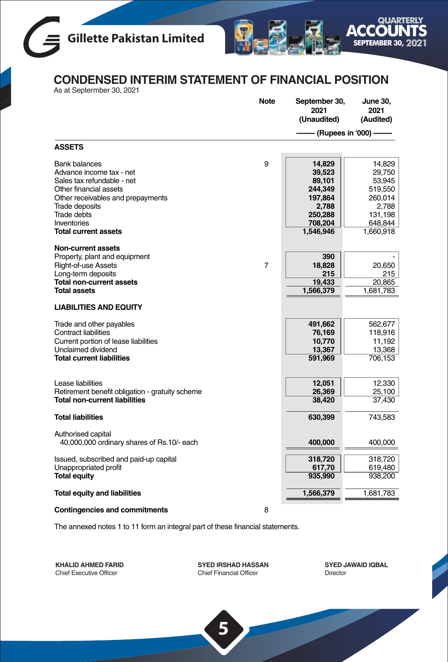



**CONDENSED INTERIM STATEMENT OF FINANCIAL POSITION**

|  |  | As at Septermber 30, 2021 |  |
|--|--|---------------------------|--|

|                                                                                                                                                                                                                                     | <b>Note</b> | September 30,<br>2021<br>(Unaudited)                                                         | <b>June 30,</b><br>2021<br>(Audited)                                                         |
|-------------------------------------------------------------------------------------------------------------------------------------------------------------------------------------------------------------------------------------|-------------|----------------------------------------------------------------------------------------------|----------------------------------------------------------------------------------------------|
|                                                                                                                                                                                                                                     |             | (Rupees in '000) -                                                                           |                                                                                              |
| <b>ASSETS</b>                                                                                                                                                                                                                       |             |                                                                                              |                                                                                              |
| <b>Bank balances</b><br>Advance income tax - net<br>Sales tax refundable - net<br>Other financial assets<br>Other receivables and prepayments<br>Trade deposits<br><b>Trade debts</b><br>Inventories<br><b>Total current assets</b> | 9           | 14,829<br>39,523<br>89,101<br>244,349<br>197,864<br>2,788<br>250,288<br>708,204<br>1,546,946 | 14,829<br>29.750<br>53,945<br>519,550<br>260,014<br>2,788<br>131,198<br>648,844<br>1,660,918 |
| Non-current assets                                                                                                                                                                                                                  |             |                                                                                              |                                                                                              |
| Property, plant and equipment<br><b>Right-of-use Assets</b><br>Long-term deposits<br><b>Total non-current assets</b><br><b>Total assets</b>                                                                                         | 7           | 390<br>18,828<br>215<br>19,433<br>1,566,379                                                  | 20,650<br>215<br>20,865<br>1,681,783                                                         |
| <b>LIABILITIES AND EQUITY</b>                                                                                                                                                                                                       |             |                                                                                              |                                                                                              |
| Trade and other payables<br><b>Contract liabilities</b><br>Current portion of lease liabilities<br>Unclaimed dividend<br><b>Total current liabilities</b>                                                                           |             | 491,662<br>76,169<br>10,770<br>13,367<br>591,969                                             | 562,677<br>118,916<br>11,192<br>13,368<br>706,153                                            |
| Lease liabilities<br>Retirement benefit obligation - gratuity scheme<br><b>Total non-current liabilities</b>                                                                                                                        |             | 12,051<br>26,369<br>38,420                                                                   | 12,330<br>25,100<br>37,430                                                                   |
| <b>Total liabilities</b>                                                                                                                                                                                                            |             | 630,399                                                                                      | 743,583                                                                                      |
| Authorised capital<br>40,000,000 ordinary shares of Rs.10/- each                                                                                                                                                                    |             | 400,000                                                                                      | 400,000                                                                                      |
| Issued, subscribed and paid-up capital<br>Unappropriated profit<br><b>Total equity</b>                                                                                                                                              |             | 318,720<br>617,70<br>935,990                                                                 | 318,720<br>619,480<br>938,200                                                                |
| <b>Total equity and liabilities</b>                                                                                                                                                                                                 |             | 1,566,379                                                                                    | 1,681,783                                                                                    |
| <b>Contingencies and commitments</b>                                                                                                                                                                                                | 8           |                                                                                              |                                                                                              |

The annexed notes 1 to 11 form an integral part of these financial statements.

**KHALID AHMED FARID** Chief Executive Officer

**SYED IRSHAD HASSAN** Chief Financial Officer

**5**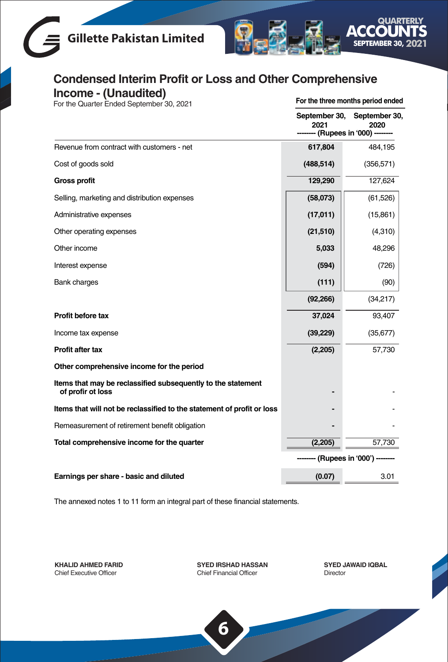



## **Condensed Interim Profit or Loss and Other Comprehensive Income - (Unaudited)** For the Quarter Ended September 30, 2021

**For the three months period ended**

|                                                                                   | September 30,<br>2021<br>- (Rupees in '000) - | September 30,<br>2020 |
|-----------------------------------------------------------------------------------|-----------------------------------------------|-----------------------|
| Revenue from contract with customers - net                                        | 617,804                                       | 484,195               |
| Cost of goods sold                                                                | (488, 514)                                    | (356, 571)            |
| <b>Gross profit</b>                                                               | 129,290                                       | 127,624               |
| Selling, marketing and distribution expenses                                      | (58,073)                                      | (61, 526)             |
| Administrative expenses                                                           | (17,011)                                      | (15, 861)             |
| Other operating expenses                                                          | (21,510)                                      | (4,310)               |
| Other income                                                                      | 5,033                                         | 48,296                |
| Interest expense                                                                  | (594)                                         | (726)                 |
| <b>Bank charges</b>                                                               | (111)                                         | (90)                  |
|                                                                                   | (92, 266)                                     | (34,217)              |
| Profit before tax                                                                 | 37,024                                        | 93,407                |
| Income tax expense                                                                | (39, 229)                                     | (35, 677)             |
| Profit after tax                                                                  | (2,205)                                       | 57,730                |
| Other comprehensive income for the period                                         |                                               |                       |
| Items that may be reclassified subsequently to the statement<br>of profir ot loss |                                               |                       |
| Items that will not be reclassified to the statement of profit or loss            |                                               |                       |
| Remeasurement of retirement benefit obligation                                    |                                               |                       |
| Total comprehensive income for the quarter                                        | (2, 205)                                      | 57,730                |
|                                                                                   | (Rupees in '000') -                           |                       |
| Earnings per share - basic and diluted                                            | (0.07)                                        | 3.01                  |

The annexed notes 1 to 11 form an integral part of these financial statements.

**KHALID AHMED FARID** Chief Executive Officer

**SYED IRSHAD HASSAN** Chief Financial Officer

**SYED JAWAID IQBAL** Director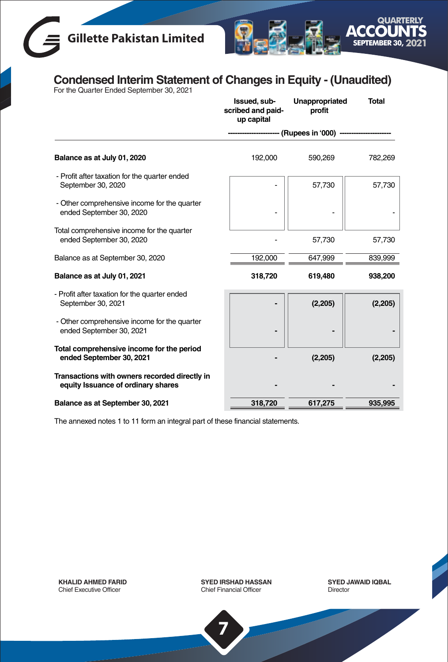# **Gillette Pakistan Limited**



# **Condensed Interim Statement of Changes in Equity - (Unaudited)** For the Quarter Ended September 30, 2021

|                                                                                     | Issued, sub-<br>scribed and paid-<br>up capital | Unappropriated<br>profit | <b>Total</b> |
|-------------------------------------------------------------------------------------|-------------------------------------------------|--------------------------|--------------|
|                                                                                     |                                                 | (Rupees in '000) -       |              |
| Balance as at July 01, 2020                                                         | 192,000                                         | 590,269                  | 782,269      |
| - Profit after taxation for the quarter ended<br>September 30, 2020                 |                                                 | 57,730                   | 57,730       |
| - Other comprehensive income for the quarter<br>ended September 30, 2020            |                                                 |                          |              |
| Total comprehensive income for the quarter<br>ended September 30, 2020              |                                                 | 57,730                   | 57,730       |
| Balance as at September 30, 2020                                                    | 192,000                                         | 647,999                  | 839,999      |
| Balance as at July 01, 2021                                                         | 318,720                                         | 619,480                  | 938,200      |
| - Profit after taxation for the quarter ended<br>September 30, 2021                 |                                                 | (2, 205)                 | (2, 205)     |
| - Other comprehensive income for the quarter<br>ended September 30, 2021            |                                                 |                          |              |
| Total comprehensive income for the period<br>ended September 30, 2021               |                                                 | (2,205)                  | (2,205)      |
| Transactions with owners recorded directly in<br>equity Issuance of ordinary shares |                                                 |                          |              |
| Balance as at September 30, 2021                                                    | 318,720                                         | 617,275                  | 935,995      |

The annexed notes 1 to 11 form an integral part of these financial statements.

**KHALID AHMED FARID** Chief Executive Officer

**SYED IRSHAD HASSAN** Chief Financial Officer

**7**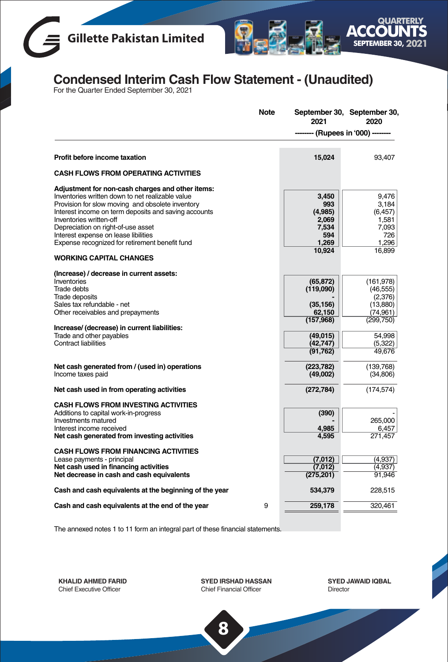



# **Condensed Interim Cash Flow Statement - (Unaudited)** For the Quarter Ended September 30, 2021

|                                                                                                                                                                                                                                                                                                                                                                                                               | <b>Note</b> | 2021                                                                | September 30, September 30,<br>2020                                    |
|---------------------------------------------------------------------------------------------------------------------------------------------------------------------------------------------------------------------------------------------------------------------------------------------------------------------------------------------------------------------------------------------------------------|-------------|---------------------------------------------------------------------|------------------------------------------------------------------------|
|                                                                                                                                                                                                                                                                                                                                                                                                               |             | - (Rupees in '000) -                                                |                                                                        |
| Profit before income taxation                                                                                                                                                                                                                                                                                                                                                                                 |             | 15,024                                                              | 93,407                                                                 |
| <b>CASH FLOWS FROM OPERATING ACTIVITIES</b>                                                                                                                                                                                                                                                                                                                                                                   |             |                                                                     |                                                                        |
| Adjustment for non-cash charges and other items:<br>Inventories written down to net realizable value<br>Provision for slow moving and obsolete inventory<br>Interest income on term deposits and saving accounts<br>Inventories written-off<br>Depreciation on right-of-use asset<br>Interest expense on lease libilities<br>Expense recognized for retirement benefit fund<br><b>WORKING CAPITAL CHANGES</b> |             | 3.450<br>993<br>(4,985)<br>2,069<br>7,534<br>594<br>1,269<br>10,924 | 9.476<br>3,184<br>(6, 457)<br>1,581<br>7,093<br>726<br>1,296<br>16,899 |
| (Increase) / decrease in current assets:<br>Inventories<br>Trade debts<br><b>Trade deposits</b><br>Sales tax refundable - net<br>Other receivables and prepayments                                                                                                                                                                                                                                            |             | (65, 872)<br>(119,090)<br>(35, 156)<br>62,150                       | (161, 978)<br>(46, 555)<br>(2,376)<br>(13,880)<br>(74, 961)            |
| Increase/ (decrease) in current liabilities:<br>Trade and other payables<br><b>Contract liabilities</b>                                                                                                                                                                                                                                                                                                       |             | (157,968)<br>(49, 015)<br>(42,747)<br>(91, 762)                     | (299, 750)<br>54,998<br>(5,322)<br>49,676                              |
| Net cash generated from / (used in) operations<br>Income taxes paid                                                                                                                                                                                                                                                                                                                                           |             | (223, 782)<br>(49,002)                                              | (139, 768)<br>(34, 806)                                                |
| Net cash used in from operating activities                                                                                                                                                                                                                                                                                                                                                                    |             | (272, 784)                                                          | (174, 574)                                                             |
| <b>CASH FLOWS FROM INVESTING ACTIVITIES</b><br>Additions to capital work-in-progress<br>Investments matured<br>Interest income received<br>Net cash generated from investing activities                                                                                                                                                                                                                       |             | (390)<br>4.985<br>4,595                                             | 265,000<br>6,457<br>271,457                                            |
| <b>CASH FLOWS FROM FINANCING ACTIVITIES</b><br>Lease payments - principal<br>Net cash used in financing activities<br>Net decrease in cash and cash equivalents                                                                                                                                                                                                                                               |             | (7,012)<br>(7,012)<br>(275, 201)                                    | (4,937)<br>(4,937)<br>91,946                                           |
| Cash and cash equivalents at the beginning of the year                                                                                                                                                                                                                                                                                                                                                        |             | 534,379                                                             | 228,515                                                                |
| Cash and cash equivalents at the end of the year                                                                                                                                                                                                                                                                                                                                                              | 9           | 259,178                                                             | 320,461                                                                |

The annexed notes 1 to 11 form an integral part of these financial statements.

**KHALID AHMED FARID** Chief Executive Officer

**SYED IRSHAD HASSAN** Chief Financial Officer

**8**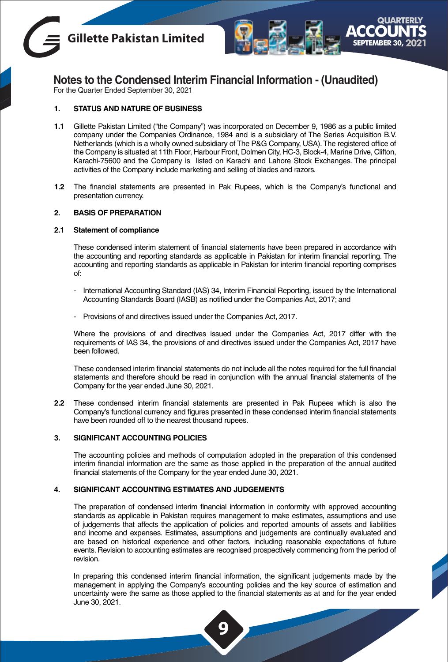



**Notes to the Condensed Interim Financial Information - (Unaudited)**

For the Quarter Ended September 30, 2021

### **1. STATUS AND NATURE OF BUSINESS**

- **1.1** Gillette Pakistan Limited ("the Company") was incorporated on December 9, 1986 as a public limited company under the Companies Ordinance, 1984 and is a subsidiary of The Series Acquisition B.V. Netherlands (which is a wholly owned subsidiary of The P&G Company, USA).The registered office of the Company is situated at 11th Floor, Harbour Front, Dolmen City, HC-3, Block-4, Marine Drive, Clifton, Karachi-75600 and the Company is listed on Karachi and Lahore Stock Exchanges. The principal activities of the Company include marketing and selling of blades and razors.
- **1.2** The financial statements are presented in Pak Rupees, which is the Company's functional and presentation currency.

### **2. BASIS OF PREPARATION**

### **2.1 Statement of compliance**

These condensed interim statement of financial statements have been prepared in accordance with the accounting and reporting standards as applicable in Pakistan for interim financial reporting. The accounting and reporting standards as applicable in Pakistan for interim financial reporting comprises of:

- International Accounting Standard (IAS) 34, Interim Financial Reporting, issued by the International Accounting Standards Board (IASB) as notified under the Companies Act, 2017; and
- Provisions of and directives issued under the Companies Act, 2017.

Where the provisions of and directives issued under the Companies Act, 2017 differ with the requirements of IAS 34, the provisions of and directives issued under the Companies Act, 2017 have been followed.

These condensed interim financial statements do not include all the notes required for the full financial statements and therefore should be read in conjunction with the annual financial statements of the Company for the year ended June 30, 2021.

**2.2** These condensed interim financial statements are presented in Pak Rupees which is also the Company's functional currency and figures presented in these condensed interim financial statements have been rounded off to the nearest thousand rupees.

### **3. SIGNIFICANT ACCOUNTING POLICIES**

The accounting policies and methods of computation adopted in the preparation of this condensed interim financial information are the same as those applied in the preparation of the annual audited financial statements of the Company for the year ended June 30, 2021.

### **4. SIGNIFICANT ACCOUNTING ESTIMATES AND JUDGEMENTS**

The preparation of condensed interim financial information in conformity with approved accounting standards as applicable in Pakistan requires management to make estimates, assumptions and use of judgements that affects the application of policies and reported amounts of assets and liabilities and income and expenses. Estimates, assumptions and judgements are continually evaluated and are based on historical experience and other factors, including reasonable expectations of future events. Revision to accounting estimates are recognised prospectively commencing from the period of revision.

In preparing this condensed interim financial information, the significant judgements made by the management in applying the Company's accounting policies and the key source of estimation and uncertainty were the same as those applied to the financial statements as at and for the year ended June 30, 2021.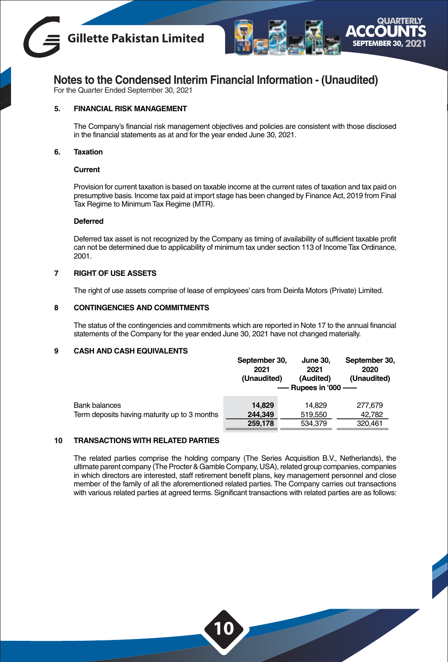



### **Notes to the Condensed Interim Financial Information - (Unaudited)**

For the Quarter Ended September 30, 2021

### **5. FINANCIAL RISK MANAGEMENT**

The Company's financial risk management objectives and policies are consistent with those disclosed in the financial statements as at and for the year ended June 30, 2021.

### **6. Taxation**

### **Current**

Provision for current taxation is based on taxable income at the current rates of taxation and tax paid on presumptive basis. Income tax paid at import stage has been changed by Finance Act, 2019 from Final Tax Regime to Minimum Tax Regime (MTR).

### **Deferred**

Deferred tax asset is not recognized by the Company as timing of availability of sufficient taxable profit can not be determined due to applicability of minimum tax under section 113 of Income Tax Ordinance, 2001.

### **7 RIGHT OF USE ASSETS**

The right of use assets comprise of lease of employees' cars from Deinfa Motors (Private) Limited.

### **8 CONTINGENCIES AND COMMITMENTS**

The status of the contingencies and commitments which are reported in Note 17 to the annual financial statements of the Company for the year ended June 30, 2021 have not changed materially.

### **9 CASH AND CASH EQUIVALENTS**

|                                              | September 30,<br>2021<br>(Unaudited) | <b>June 30.</b><br>2021<br>(Audited) | September 30,<br>2020<br>(Unaudited) |
|----------------------------------------------|--------------------------------------|--------------------------------------|--------------------------------------|
|                                              |                                      | ----- Rupees in '000 ------          |                                      |
| Bank balances                                | 14.829                               | 14.829                               | 277.679                              |
| Term deposits having maturity up to 3 months | 244,349                              | 519,550                              | 42.782                               |
|                                              | 259,178                              | 534,379                              | 320,461                              |

### **10 TRANSACTIONS WITH RELATED PARTIES**

The related parties comprise the holding company (The Series Acquisition B.V., Netherlands), the ultimate parent company (The Procter & Gamble Company, USA), related group companies, companies in which directors are interested, staff retirement benefit plans, key management personnel and close member of the family of all the aforementioned related parties. The Company carries out transactions with various related parties at agreed terms. Significant transactions with related parties are as follows: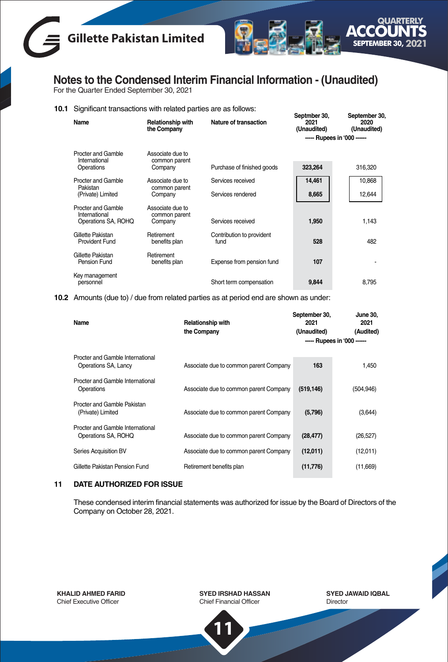



**Notes to the Condensed Interim Financial Information - (Unaudited)**

For the Quarter Ended September 30, 2021

### **10.1** Significant transactions with related parties are as follows:

| Name                                | <b>Relationship with</b><br>the Company | Nature of transaction             | Septmber 30,<br>2021<br>(Unaudited) | September 30,<br>2020<br>(Unaudited) |
|-------------------------------------|-----------------------------------------|-----------------------------------|-------------------------------------|--------------------------------------|
|                                     |                                         |                                   | ----- Rupees in '000 ------         |                                      |
| Procter and Gamble<br>International | Associate due to<br>common parent       |                                   |                                     |                                      |
| Operations                          | Company                                 | Purchase of finished goods        | 323.264                             | 316,320                              |
| Procter and Gamble<br>Pakistan      | Associate due to<br>common parent       | Services received                 | 14,461                              | 10,868                               |
| (Private) Limited                   | Company                                 | Services rendered                 | 8,665                               | 12,644                               |
| Procter and Gamble<br>International | Associate due to<br>common parent       |                                   |                                     |                                      |
| Operations SA, ROHQ                 | Company                                 | Services received                 | 1.950                               | 1.143                                |
| Gillette Pakistan<br>Provident Fund | Retirement<br>benefits plan             | Contribution to provident<br>fund | 528                                 | 482                                  |
| Gillette Pakistan<br>Pension Fund   | Retirement<br>benefits plan             | Expense from pension fund         | 107                                 |                                      |
| Key management<br>personnel         |                                         | Short term compensation           | 9.844                               | 8.795                                |

**10.2** Amounts (due to) / due from related parties as at period end are shown as under:

| Name                                                     | Relationship with<br>the Company       | September 30,<br>2021<br>(Unaudited) | June 30.<br>2021<br>(Audited)<br>----- Rupees in '000 ------ |
|----------------------------------------------------------|----------------------------------------|--------------------------------------|--------------------------------------------------------------|
|                                                          |                                        |                                      |                                                              |
| Procter and Gamble International<br>Operations SA, Lancy | Associate due to common parent Company | 163                                  | 1.450                                                        |
| Procter and Gamble International<br>Operations           | Associate due to common parent Company | (519, 146)                           | (504, 946)                                                   |
| Procter and Gamble Pakistan<br>(Private) Limited         | Associate due to common parent Company | (5,796)                              | (3,644)                                                      |
| Procter and Gamble International<br>Operations SA, ROHQ  | Associate due to common parent Company | (28, 477)                            | (26, 527)                                                    |
| Series Acquisition BV                                    | Associate due to common parent Company | (12,011)                             | (12,011)                                                     |
| Gillette Pakistan Pension Fund                           | Retirement benefits plan               | (11,776)                             | (11,669)                                                     |

### **11 DATE AUTHORIZED FOR ISSUE**

These condensed interim financial statements was authorized for issue by the Board of Directors of the Company on October 28, 2021.

**KHALID AHMED FARID** Chief Executive Officer

**SYED IRSHAD HASSAN** Chief Financial Officer